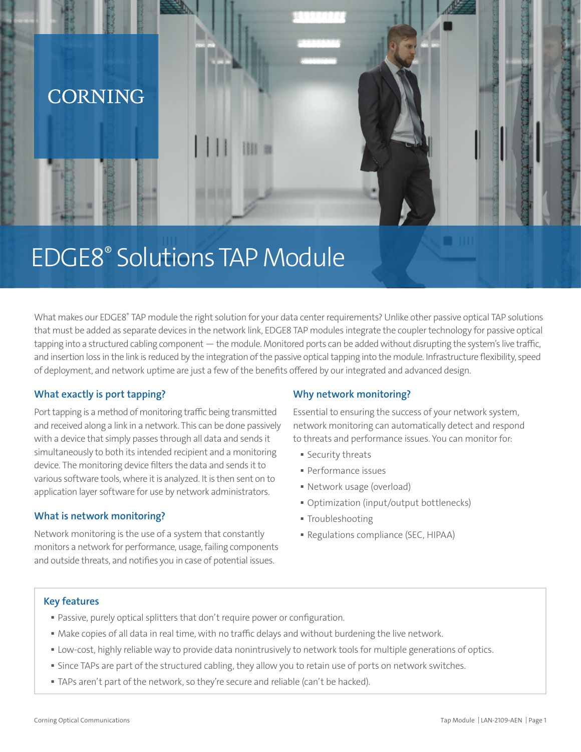

# EDGE8® Solutions TAP Module

What makes our EDGE8® TAP module the right solution for your data center requirements? Unlike other passive optical TAP solutions that must be added as separate devices in the network link, EDGE8 TAP modules integrate the coupler technology for passive optical tapping into a structured cabling component — the module. Monitored ports can be added without disrupting the system's live traffic, and insertion loss in the link is reduced by the integration of the passive optical tapping into the module. Infrastructure flexibility, speed of deployment, and network uptime are just a few of the benefits offered by our integrated and advanced design.

# **What exactly is port tapping?**

Port tapping is a method of monitoring traffic being transmitted and received along a link in a network. This can be done passively with a device that simply passes through all data and sends it simultaneously to both its intended recipient and a monitoring device. The monitoring device filters the data and sends it to various software tools, where it is analyzed. It is then sent on to application layer software for use by network administrators.

## **What is network monitoring?**

Network monitoring is the use of a system that constantly monitors a network for performance, usage, failing components and outside threats, and notifies you in case of potential issues.

## **Why network monitoring?**

Essential to ensuring the success of your network system, network monitoring can automatically detect and respond to threats and performance issues. You can monitor for:

- Security threats
- Performance issues
- Network usage (overload)
- Optimization (input/output bottlenecks)
- Troubleshooting
- Regulations compliance (SEC, HIPAA)

#### **Key features**

- Passive, purely optical splitters that don't require power or configuration.
- Make copies of all data in real time, with no traffic delays and without burdening the live network.
- Low-cost, highly reliable way to provide data nonintrusively to network tools for multiple generations of optics.
- Since TAPs are part of the structured cabling, they allow you to retain use of ports on network switches.
- TAPs aren't part of the network, so they're secure and reliable (can't be hacked).